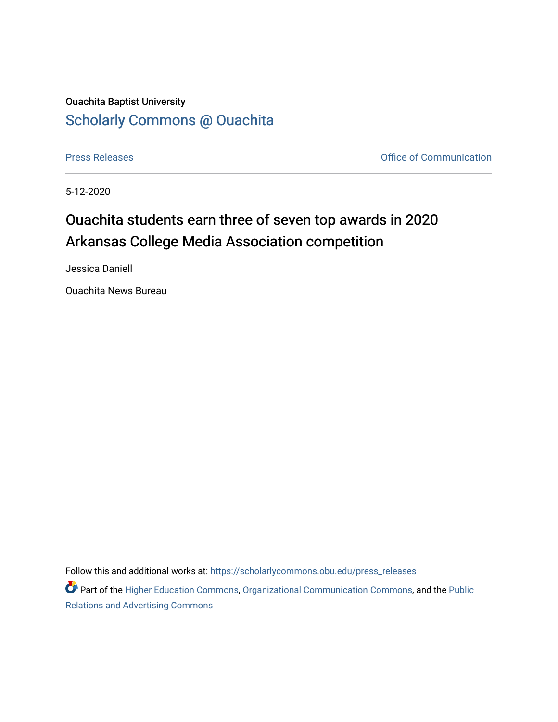## Ouachita Baptist University [Scholarly Commons @ Ouachita](https://scholarlycommons.obu.edu/)

[Press Releases](https://scholarlycommons.obu.edu/press_releases) **Press Releases Communication Press Releases Office of Communication** 

5-12-2020

## Ouachita students earn three of seven top awards in 2020 Arkansas College Media Association competition

Jessica Daniell

Ouachita News Bureau

Follow this and additional works at: [https://scholarlycommons.obu.edu/press\\_releases](https://scholarlycommons.obu.edu/press_releases?utm_source=scholarlycommons.obu.edu%2Fpress_releases%2F728&utm_medium=PDF&utm_campaign=PDFCoverPages)

Part of the [Higher Education Commons,](http://network.bepress.com/hgg/discipline/1245?utm_source=scholarlycommons.obu.edu%2Fpress_releases%2F728&utm_medium=PDF&utm_campaign=PDFCoverPages) [Organizational Communication Commons,](http://network.bepress.com/hgg/discipline/335?utm_source=scholarlycommons.obu.edu%2Fpress_releases%2F728&utm_medium=PDF&utm_campaign=PDFCoverPages) and the [Public](http://network.bepress.com/hgg/discipline/336?utm_source=scholarlycommons.obu.edu%2Fpress_releases%2F728&utm_medium=PDF&utm_campaign=PDFCoverPages) [Relations and Advertising Commons](http://network.bepress.com/hgg/discipline/336?utm_source=scholarlycommons.obu.edu%2Fpress_releases%2F728&utm_medium=PDF&utm_campaign=PDFCoverPages)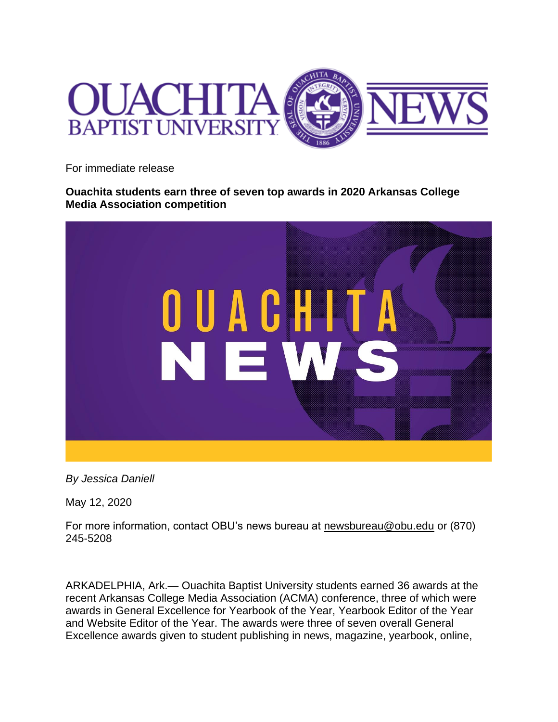

For immediate release

**Ouachita students earn three of seven top awards in 2020 Arkansas College Media Association competition**



*By Jessica Daniell*

May 12, 2020

For more information, contact OBU's news bureau at [newsbureau@obu.edu](mailto:newsbureau@obu.edu) or (870) 245-5208

ARKADELPHIA, Ark.— Ouachita Baptist University students earned 36 awards at the recent Arkansas College Media Association (ACMA) conference, three of which were awards in General Excellence for Yearbook of the Year, Yearbook Editor of the Year and Website Editor of the Year. The awards were three of seven overall General Excellence awards given to student publishing in news, magazine, yearbook, online,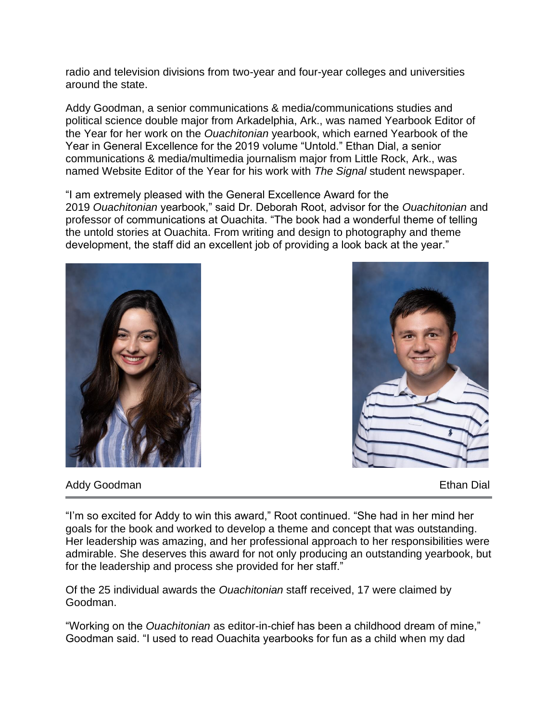radio and television divisions from two-year and four-year colleges and universities around the state.

Addy Goodman, a senior communications & media/communications studies and political science double major from Arkadelphia, Ark., was named Yearbook Editor of the Year for her work on the *Ouachitonian* yearbook, which earned Yearbook of the Year in General Excellence for the 2019 volume "Untold." Ethan Dial, a senior communications & media/multimedia journalism major from Little Rock, Ark., was named Website Editor of the Year for his work with *The Signal* student newspaper.

"I am extremely pleased with the General Excellence Award for the 2019 *Ouachitonian* yearbook," said Dr. Deborah Root, advisor for the *Ouachitonian* and professor of communications at Ouachita. "The book had a wonderful theme of telling the untold stories at Ouachita. From writing and design to photography and theme development, the staff did an excellent job of providing a look back at the year."





Addy Goodman **Ethan Dial** 

"I'm so excited for Addy to win this award," Root continued. "She had in her mind her goals for the book and worked to develop a theme and concept that was outstanding. Her leadership was amazing, and her professional approach to her responsibilities were admirable. She deserves this award for not only producing an outstanding yearbook, but for the leadership and process she provided for her staff."

Of the 25 individual awards the *Ouachitonian* staff received, 17 were claimed by Goodman.

"Working on the *Ouachitonian* as editor-in-chief has been a childhood dream of mine," Goodman said. "I used to read Ouachita yearbooks for fun as a child when my dad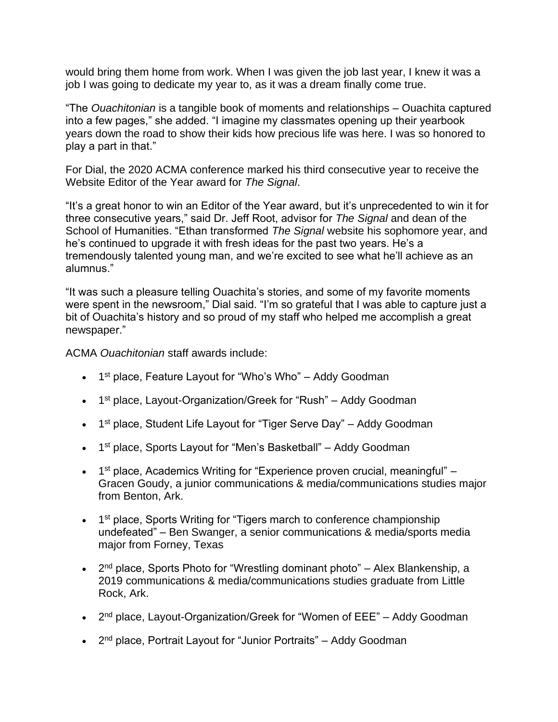would bring them home from work. When I was given the job last year, I knew it was a job I was going to dedicate my year to, as it was a dream finally come true.

"The *Ouachitonian* is a tangible book of moments and relationships – Ouachita captured into a few pages," she added. "I imagine my classmates opening up their yearbook years down the road to show their kids how precious life was here. I was so honored to play a part in that."

For Dial, the 2020 ACMA conference marked his third consecutive year to receive the Website Editor of the Year award for *The Signal*.

"It's a great honor to win an Editor of the Year award, but it's unprecedented to win it for three consecutive years," said Dr. Jeff Root, advisor for *The Signal* and dean of the School of Humanities. "Ethan transformed *The Signal* website his sophomore year, and he's continued to upgrade it with fresh ideas for the past two years. He's a tremendously talented young man, and we're excited to see what he'll achieve as an alumnus."

"It was such a pleasure telling Ouachita's stories, and some of my favorite moments were spent in the newsroom," Dial said. "I'm so grateful that I was able to capture just a bit of Ouachita's history and so proud of my staff who helped me accomplish a great newspaper."

ACMA *Ouachitonian* staff awards include:

- 1<sup>st</sup> place, Feature Layout for "Who's Who" Addy Goodman
- 1<sup>st</sup> place, Layout-Organization/Greek for "Rush" Addy Goodman
- 1<sup>st</sup> place, Student Life Layout for "Tiger Serve Day" Addy Goodman
- 1<sup>st</sup> place, Sports Layout for "Men's Basketball" Addy Goodman
- 1<sup>st</sup> place, Academics Writing for "Experience proven crucial, meaningful" Gracen Goudy, a junior communications & media/communications studies major from Benton, Ark.
- 1<sup>st</sup> place, Sports Writing for "Tigers march to conference championship undefeated" – Ben Swanger, a senior communications & media/sports media major from Forney, Texas
- 2<sup>nd</sup> place, Sports Photo for "Wrestling dominant photo" Alex Blankenship, a 2019 communications & media/communications studies graduate from Little Rock, Ark.
- 2<sup>nd</sup> place, Layout-Organization/Greek for "Women of EEE" Addy Goodman
- 2<sup>nd</sup> place, Portrait Layout for "Junior Portraits" Addy Goodman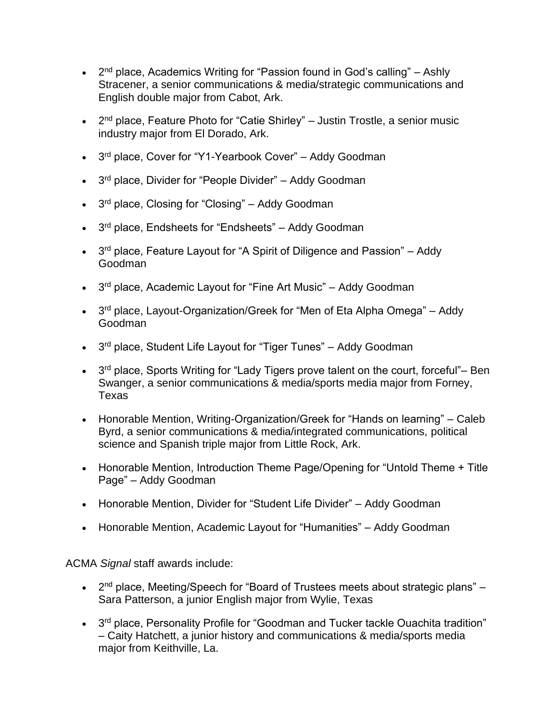- $\bullet$  2<sup>nd</sup> place, Academics Writing for "Passion found in God's calling" Ashly Stracener, a senior communications & media/strategic communications and English double major from Cabot, Ark.
- 2<sup>nd</sup> place, Feature Photo for "Catie Shirley" Justin Trostle, a senior music industry major from El Dorado, Ark.
- 3<sup>rd</sup> place, Cover for "Y1-Yearbook Cover" Addy Goodman
- 3<sup>rd</sup> place, Divider for "People Divider" Addy Goodman
- 3<sup>rd</sup> place, Closing for "Closing" Addy Goodman
- 3<sup>rd</sup> place, Endsheets for "Endsheets" Addy Goodman
- 3<sup>rd</sup> place, Feature Layout for "A Spirit of Diligence and Passion" Addy Goodman
- 3<sup>rd</sup> place, Academic Layout for "Fine Art Music" Addy Goodman
- 3<sup>rd</sup> place, Layout-Organization/Greek for "Men of Eta Alpha Omega" Addy Goodman
- 3<sup>rd</sup> place, Student Life Layout for "Tiger Tunes" Addy Goodman
- 3<sup>rd</sup> place, Sports Writing for "Lady Tigers prove talent on the court, forceful"– Ben Swanger, a senior communications & media/sports media major from Forney, Texas
- Honorable Mention, Writing-Organization/Greek for "Hands on learning" Caleb Byrd, a senior communications & media/integrated communications, political science and Spanish triple major from Little Rock, Ark.
- Honorable Mention, Introduction Theme Page/Opening for "Untold Theme + Title Page" – Addy Goodman
- Honorable Mention, Divider for "Student Life Divider" Addy Goodman
- Honorable Mention, Academic Layout for "Humanities" Addy Goodman

ACMA *Signal* staff awards include:

- 2<sup>nd</sup> place, Meeting/Speech for "Board of Trustees meets about strategic plans" Sara Patterson, a junior English major from Wylie, Texas
- 3<sup>rd</sup> place, Personality Profile for "Goodman and Tucker tackle Ouachita tradition" – Caity Hatchett, a junior history and communications & media/sports media major from Keithville, La.